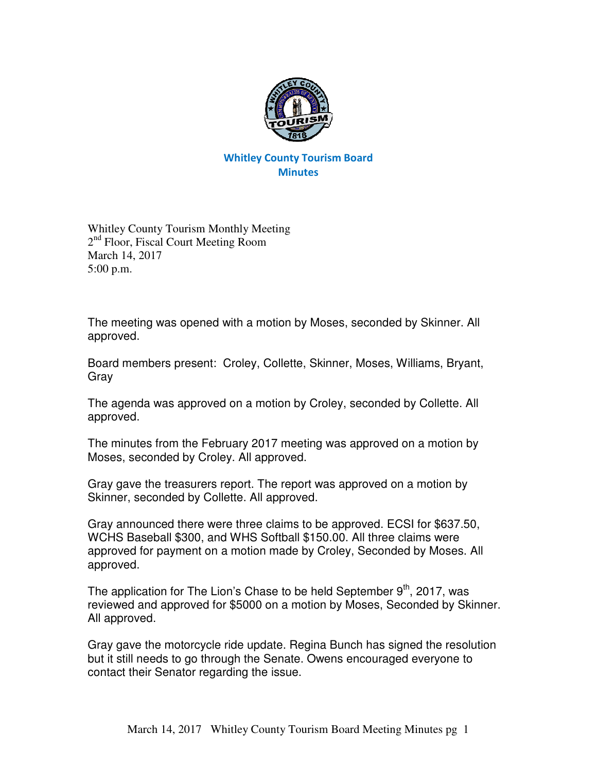

## Whitley County Tourism Board **Minutes**

Whitley County Tourism Monthly Meeting 2<sup>nd</sup> Floor, Fiscal Court Meeting Room March 14, 2017 5:00 p.m.

The meeting was opened with a motion by Moses, seconded by Skinner. All approved.

Board members present: Croley, Collette, Skinner, Moses, Williams, Bryant, Gray

The agenda was approved on a motion by Croley, seconded by Collette. All approved.

The minutes from the February 2017 meeting was approved on a motion by Moses, seconded by Croley. All approved.

Gray gave the treasurers report. The report was approved on a motion by Skinner, seconded by Collette. All approved.

Gray announced there were three claims to be approved. ECSI for \$637.50, WCHS Baseball \$300, and WHS Softball \$150.00. All three claims were approved for payment on a motion made by Croley, Seconded by Moses. All approved.

The application for The Lion's Chase to be held September  $9<sup>th</sup>$ , 2017, was reviewed and approved for \$5000 on a motion by Moses, Seconded by Skinner. All approved.

Gray gave the motorcycle ride update. Regina Bunch has signed the resolution but it still needs to go through the Senate. Owens encouraged everyone to contact their Senator regarding the issue.